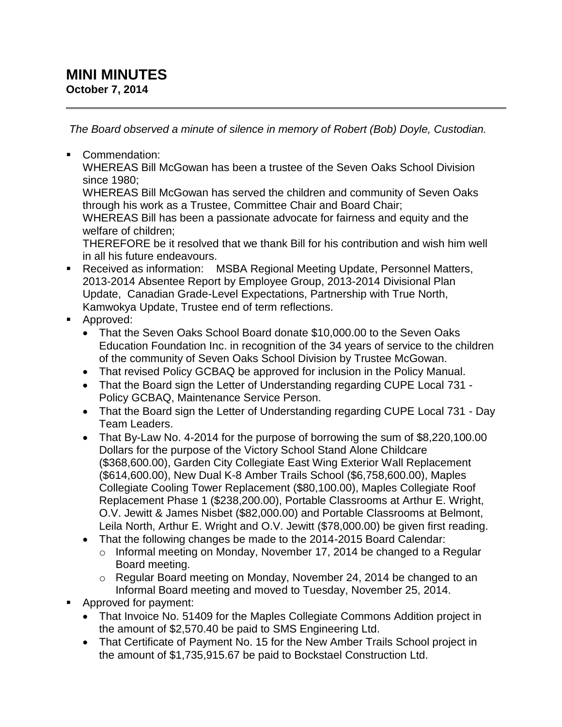## **MINI MINUTES October 7, 2014**

*The Board observed a minute of silence in memory of Robert (Bob) Doyle, Custodian.*

Commendation:

WHEREAS Bill McGowan has been a trustee of the Seven Oaks School Division since 1980;

WHEREAS Bill McGowan has served the children and community of Seven Oaks through his work as a Trustee, Committee Chair and Board Chair;

WHEREAS Bill has been a passionate advocate for fairness and equity and the welfare of children;

THEREFORE be it resolved that we thank Bill for his contribution and wish him well in all his future endeavours.

- Received as information: MSBA Regional Meeting Update, Personnel Matters, 2013-2014 Absentee Report by Employee Group, 2013-2014 Divisional Plan Update, Canadian Grade-Level Expectations, Partnership with True North, Kamwokya Update, Trustee end of term reflections.
- **Approved:** 
	- That the Seven Oaks School Board donate \$10,000.00 to the Seven Oaks Education Foundation Inc. in recognition of the 34 years of service to the children of the community of Seven Oaks School Division by Trustee McGowan.
	- That revised Policy GCBAQ be approved for inclusion in the Policy Manual.
	- That the Board sign the Letter of Understanding regarding CUPE Local 731 -Policy GCBAQ, Maintenance Service Person.
	- That the Board sign the Letter of Understanding regarding CUPE Local 731 Day Team Leaders.
	- That By-Law No. 4-2014 for the purpose of borrowing the sum of \$8,220,100.00 Dollars for the purpose of the Victory School Stand Alone Childcare (\$368,600.00), Garden City Collegiate East Wing Exterior Wall Replacement (\$614,600.00), New Dual K-8 Amber Trails School (\$6,758,600.00), Maples Collegiate Cooling Tower Replacement (\$80,100.00), Maples Collegiate Roof Replacement Phase 1 (\$238,200.00), Portable Classrooms at Arthur E. Wright, O.V. Jewitt & James Nisbet (\$82,000.00) and Portable Classrooms at Belmont, Leila North, Arthur E. Wright and O.V. Jewitt (\$78,000.00) be given first reading.
	- That the following changes be made to the 2014-2015 Board Calendar:
		- o Informal meeting on Monday, November 17, 2014 be changed to a Regular Board meeting.
		- o Regular Board meeting on Monday, November 24, 2014 be changed to an Informal Board meeting and moved to Tuesday, November 25, 2014.
- Approved for payment:
	- That Invoice No. 51409 for the Maples Collegiate Commons Addition project in the amount of \$2,570.40 be paid to SMS Engineering Ltd.
	- That Certificate of Payment No. 15 for the New Amber Trails School project in the amount of \$1,735,915.67 be paid to Bockstael Construction Ltd.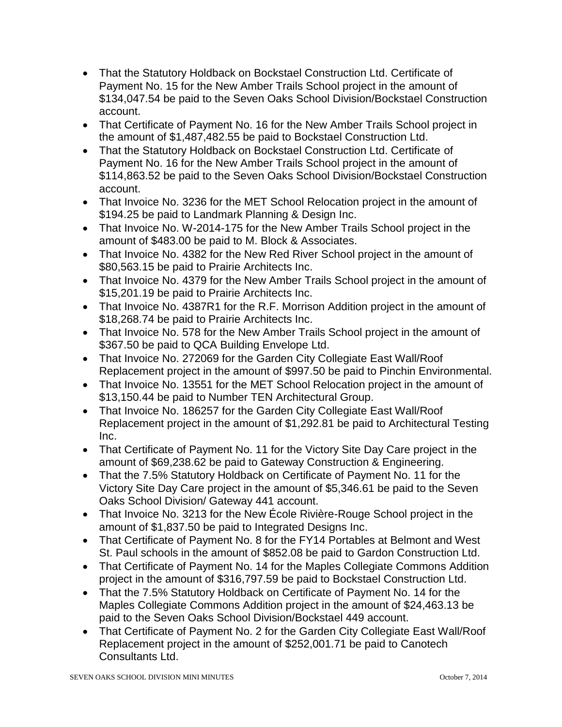- That the Statutory Holdback on Bockstael Construction Ltd. Certificate of Payment No. 15 for the New Amber Trails School project in the amount of \$134,047.54 be paid to the Seven Oaks School Division/Bockstael Construction account.
- That Certificate of Payment No. 16 for the New Amber Trails School project in the amount of \$1,487,482.55 be paid to Bockstael Construction Ltd.
- That the Statutory Holdback on Bockstael Construction Ltd. Certificate of Payment No. 16 for the New Amber Trails School project in the amount of \$114,863.52 be paid to the Seven Oaks School Division/Bockstael Construction account.
- That Invoice No. 3236 for the MET School Relocation project in the amount of \$194.25 be paid to Landmark Planning & Design Inc.
- That Invoice No. W-2014-175 for the New Amber Trails School project in the amount of \$483.00 be paid to M. Block & Associates.
- That Invoice No. 4382 for the New Red River School project in the amount of \$80,563.15 be paid to Prairie Architects Inc.
- That Invoice No. 4379 for the New Amber Trails School project in the amount of \$15,201.19 be paid to Prairie Architects Inc.
- That Invoice No. 4387R1 for the R.F. Morrison Addition project in the amount of \$18,268.74 be paid to Prairie Architects Inc.
- That Invoice No. 578 for the New Amber Trails School project in the amount of \$367.50 be paid to QCA Building Envelope Ltd.
- That Invoice No. 272069 for the Garden City Collegiate East Wall/Roof Replacement project in the amount of \$997.50 be paid to Pinchin Environmental.
- That Invoice No. 13551 for the MET School Relocation project in the amount of \$13,150.44 be paid to Number TEN Architectural Group.
- That Invoice No. 186257 for the Garden City Collegiate East Wall/Roof Replacement project in the amount of \$1,292.81 be paid to Architectural Testing Inc.
- That Certificate of Payment No. 11 for the Victory Site Day Care project in the amount of \$69,238.62 be paid to Gateway Construction & Engineering.
- That the 7.5% Statutory Holdback on Certificate of Payment No. 11 for the Victory Site Day Care project in the amount of \$5,346.61 be paid to the Seven Oaks School Division/ Gateway 441 account.
- That Invoice No. 3213 for the New École Rivière-Rouge School project in the amount of \$1,837.50 be paid to Integrated Designs Inc.
- That Certificate of Payment No. 8 for the FY14 Portables at Belmont and West St. Paul schools in the amount of \$852.08 be paid to Gardon Construction Ltd.
- That Certificate of Payment No. 14 for the Maples Collegiate Commons Addition project in the amount of \$316,797.59 be paid to Bockstael Construction Ltd.
- That the 7.5% Statutory Holdback on Certificate of Payment No. 14 for the Maples Collegiate Commons Addition project in the amount of \$24,463.13 be paid to the Seven Oaks School Division/Bockstael 449 account.
- That Certificate of Payment No. 2 for the Garden City Collegiate East Wall/Roof Replacement project in the amount of \$252,001.71 be paid to Canotech Consultants Ltd.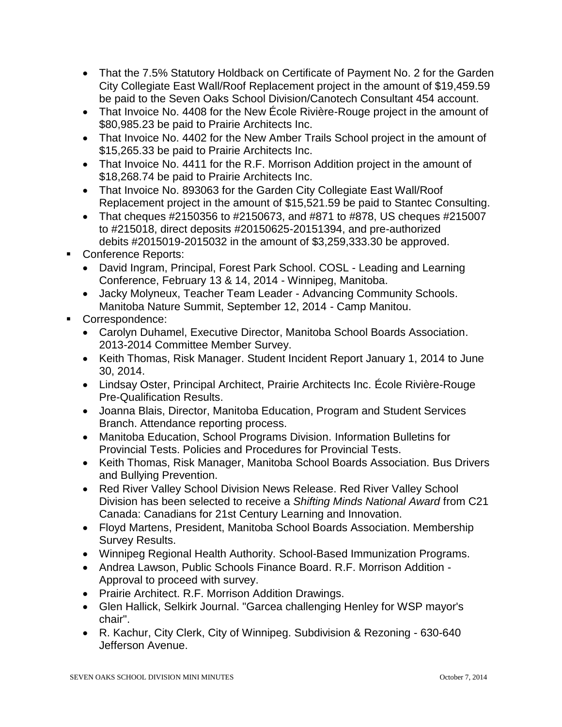- That the 7.5% Statutory Holdback on Certificate of Payment No. 2 for the Garden City Collegiate East Wall/Roof Replacement project in the amount of \$19,459.59 be paid to the Seven Oaks School Division/Canotech Consultant 454 account.
- That Invoice No. 4408 for the New École Rivière-Rouge project in the amount of \$80,985.23 be paid to Prairie Architects Inc.
- That Invoice No. 4402 for the New Amber Trails School project in the amount of \$15,265.33 be paid to Prairie Architects Inc.
- That Invoice No. 4411 for the R.F. Morrison Addition project in the amount of \$18,268.74 be paid to Prairie Architects Inc.
- That Invoice No. 893063 for the Garden City Collegiate East Wall/Roof Replacement project in the amount of \$15,521.59 be paid to Stantec Consulting.
- That cheques  $\#2150356$  to  $\#2150673$ , and  $\#871$  to  $\#878$ , US cheques  $\#215007$ to #215018, direct deposits #20150625-20151394, and pre-authorized debits #2015019-2015032 in the amount of \$3,259,333.30 be approved.
- Conference Reports:
	- David Ingram, Principal, Forest Park School. COSL Leading and Learning Conference, February 13 & 14, 2014 - Winnipeg, Manitoba.
	- Jacky Molyneux, Teacher Team Leader Advancing Community Schools. Manitoba Nature Summit, September 12, 2014 - Camp Manitou.
- Correspondence:
	- Carolyn Duhamel, Executive Director, Manitoba School Boards Association. 2013-2014 Committee Member Survey.
	- Keith Thomas, Risk Manager. Student Incident Report January 1, 2014 to June 30, 2014.
	- Lindsay Oster, Principal Architect, Prairie Architects Inc. École Rivière-Rouge Pre-Qualification Results.
	- Joanna Blais, Director, Manitoba Education, Program and Student Services Branch. Attendance reporting process.
	- Manitoba Education, School Programs Division. Information Bulletins for Provincial Tests. Policies and Procedures for Provincial Tests.
	- Keith Thomas, Risk Manager, Manitoba School Boards Association. Bus Drivers and Bullying Prevention.
	- Red River Valley School Division News Release. Red River Valley School Division has been selected to receive a *Shifting Minds National Award* from C21 Canada: Canadians for 21st Century Learning and Innovation.
	- Floyd Martens, President, Manitoba School Boards Association. Membership Survey Results.
	- Winnipeg Regional Health Authority. School-Based Immunization Programs.
	- Andrea Lawson, Public Schools Finance Board, R.F. Morrison Addition -Approval to proceed with survey.
	- Prairie Architect. R.F. Morrison Addition Drawings.
	- Glen Hallick, Selkirk Journal. "Garcea challenging Henley for WSP mayor's chair".
	- R. Kachur, City Clerk, City of Winnipeg. Subdivision & Rezoning 630-640 Jefferson Avenue.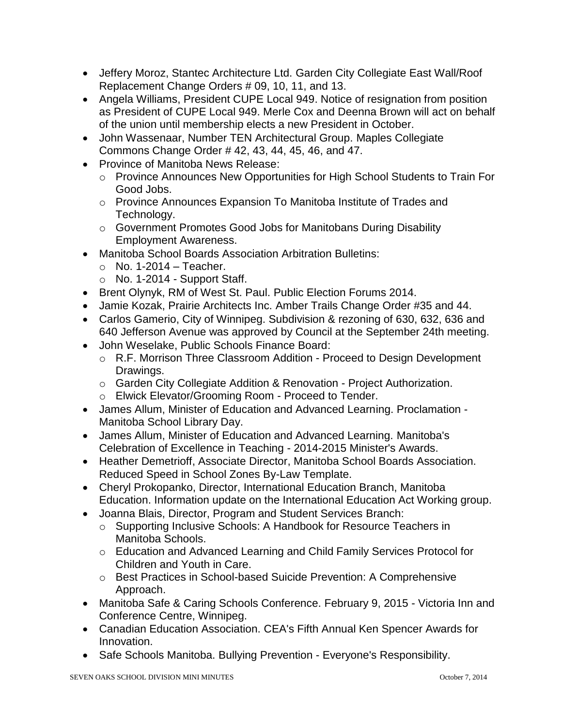- Jeffery Moroz, Stantec Architecture Ltd. Garden City Collegiate East Wall/Roof Replacement Change Orders # 09, 10, 11, and 13.
- Angela Williams, President CUPE Local 949. Notice of resignation from position as President of CUPE Local 949. Merle Cox and Deenna Brown will act on behalf of the union until membership elects a new President in October.
- John Wassenaar, Number TEN Architectural Group. Maples Collegiate Commons Change Order # 42, 43, 44, 45, 46, and 47.
- Province of Manitoba News Release:
	- o Province Announces New Opportunities for High School Students to Train For Good Jobs.
	- o Province Announces Expansion To Manitoba Institute of Trades and Technology.
	- o Government Promotes Good Jobs for Manitobans During Disability Employment Awareness.
- Manitoba School Boards Association Arbitration Bulletins:
	- $\circ$  No. 1-2014 Teacher.
	- o No. 1-2014 Support Staff.
- Brent Olynyk, RM of West St. Paul. Public Election Forums 2014.
- Jamie Kozak, Prairie Architects Inc. Amber Trails Change Order #35 and 44.
- Carlos Gamerio, City of Winnipeg. Subdivision & rezoning of 630, 632, 636 and 640 Jefferson Avenue was approved by Council at the September 24th meeting.
- John Weselake, Public Schools Finance Board:
	- o R.F. Morrison Three Classroom Addition Proceed to Design Development Drawings.
	- o Garden City Collegiate Addition & Renovation Project Authorization.
	- o Elwick Elevator/Grooming Room Proceed to Tender.
- James Allum, Minister of Education and Advanced Learning. Proclamation Manitoba School Library Day.
- James Allum, Minister of Education and Advanced Learning. Manitoba's Celebration of Excellence in Teaching - 2014-2015 Minister's Awards.
- Heather Demetrioff, Associate Director, Manitoba School Boards Association. Reduced Speed in School Zones By-Law Template.
- Cheryl Prokopanko, Director, International Education Branch, Manitoba Education. Information update on the International Education Act Working group.
- Joanna Blais, Director, Program and Student Services Branch:
	- o Supporting Inclusive Schools: A Handbook for Resource Teachers in Manitoba Schools.
	- o Education and Advanced Learning and Child Family Services Protocol for Children and Youth in Care.
	- o Best Practices in School-based Suicide Prevention: A Comprehensive Approach.
- Manitoba Safe & Caring Schools Conference. February 9, 2015 Victoria Inn and Conference Centre, Winnipeg.
- Canadian Education Association. CEA's Fifth Annual Ken Spencer Awards for Innovation.
- Safe Schools Manitoba. Bullying Prevention Everyone's Responsibility.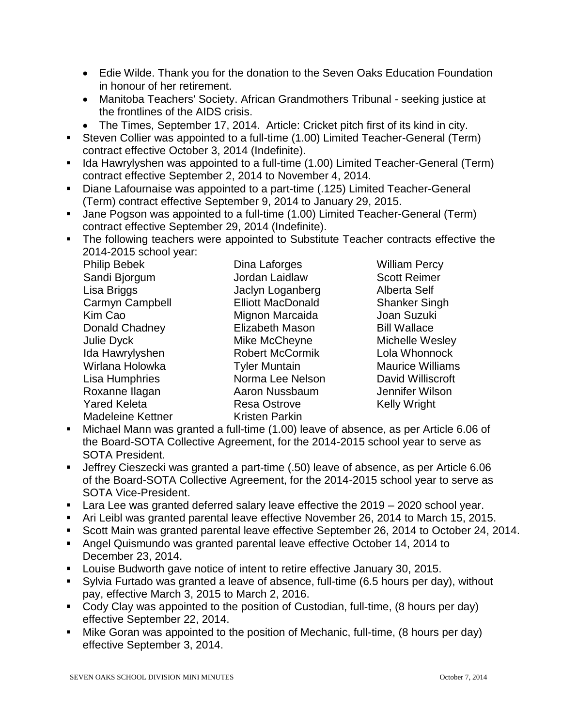- Edie Wilde. Thank you for the donation to the Seven Oaks Education Foundation in honour of her retirement.
- Manitoba Teachers' Society. African Grandmothers Tribunal seeking justice at the frontlines of the AIDS crisis.
- The Times, September 17, 2014. Article: Cricket pitch first of its kind in city.
- Steven Collier was appointed to a full-time (1.00) Limited Teacher-General (Term) contract effective October 3, 2014 (Indefinite).
- Ida Hawrylyshen was appointed to a full-time (1.00) Limited Teacher-General (Term) contract effective September 2, 2014 to November 4, 2014.
- Diane Lafournaise was appointed to a part-time (.125) Limited Teacher-General (Term) contract effective September 9, 2014 to January 29, 2015.
- Jane Pogson was appointed to a full-time (1.00) Limited Teacher-General (Term) contract effective September 29, 2014 (Indefinite).
- The following teachers were appointed to Substitute Teacher contracts effective the 2014-2015 school year:

| <b>Philip Bebek</b>      | Dina Laforges            |
|--------------------------|--------------------------|
| Sandi Bjorgum            | Jordan Laidlaw           |
| Lisa Briggs              | Jaclyn Loganber          |
| Carmyn Campbell          | <b>Elliott MacDonald</b> |
| Kim Cao                  | Mignon Marcaida          |
| Donald Chadney           | <b>Elizabeth Mason</b>   |
| <b>Julie Dyck</b>        | Mike McCheyne            |
| Ida Hawrylyshen          | <b>Robert McCormil</b>   |
| Wirlana Holowka          | <b>Tyler Muntain</b>     |
| Lisa Humphries           | Norma Lee Nelso          |
| Roxanne Ilagan           | Aaron Nussbaum           |
| <b>Yared Keleta</b>      | <b>Resa Ostrove</b>      |
| <b>Madeleine Kettner</b> | <b>Kristen Parkin</b>    |

William Percy Scott Reimer g and Alberta Self d Shanker Singh a Miga Joan Suzuki **Bill Wallace** Michelle Wesley k Ida Whonnock Maurice Williams on **David Williscroft** Roxanne Ilagan Aaron Nussbaum Jennifer Wilson Kelly Wright

- Michael Mann was granted a full-time (1.00) leave of absence, as per Article 6.06 of the Board-SOTA Collective Agreement, for the 2014-2015 school year to serve as SOTA President.
- Jeffrey Cieszecki was granted a part-time (.50) leave of absence, as per Article 6.06 of the Board-SOTA Collective Agreement, for the 2014-2015 school year to serve as SOTA Vice-President.
- **Lara Lee was granted deferred salary leave effective the 2019 2020 school year.**
- Ari Leibl was granted parental leave effective November 26, 2014 to March 15, 2015.
- Scott Main was granted parental leave effective September 26, 2014 to October 24, 2014.
- Angel Quismundo was granted parental leave effective October 14, 2014 to December 23, 2014.
- **Louise Budworth gave notice of intent to retire effective January 30, 2015.**
- Sylvia Furtado was granted a leave of absence, full-time (6.5 hours per day), without pay, effective March 3, 2015 to March 2, 2016.
- Cody Clay was appointed to the position of Custodian, full-time, (8 hours per day) effective September 22, 2014.
- Mike Goran was appointed to the position of Mechanic, full-time, (8 hours per day) effective September 3, 2014.